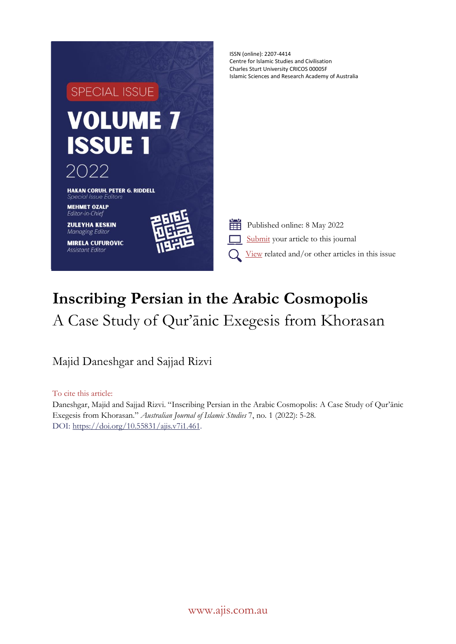

# **Inscribing Persian in the Arabic Cosmopolis** A Case Study of Qur'ānic Exegesis from Khorasan

Majid Daneshgar and Sajjad Rizvi

To cite this article:

Daneshgar, Majid and Sajjad Rizvi. "Inscribing Persian in the Arabic Cosmopolis: A Case Study of Qur'ānic Exegesis from Khorasan." *Australian Journal of Islamic Studies* 7, no. 1 (2022): 5-28. DOI: [https://doi.org/10.55831/ajis.v7i1.461.](https://doi.org/10.55831/ajis.v7i1.461)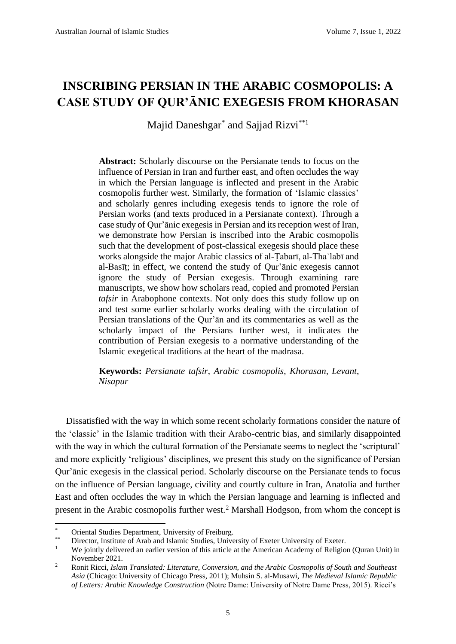## **INSCRIBING PERSIAN IN THE ARABIC COSMOPOLIS: A CASE STUDY OF QUR'ĀNIC EXEGESIS FROM KHORASAN**

Majid Daneshgar<sup>\*</sup> and Sajjad Rizvi<sup>\*\*1</sup>

**Abstract:** Scholarly discourse on the Persianate tends to focus on the influence of Persian in Iran and further east, and often occludes the way in which the Persian language is inflected and present in the Arabic cosmopolis further west. Similarly, the formation of 'Islamic classics' and scholarly genres including exegesis tends to ignore the role of Persian works (and texts produced in a Persianate context). Through a case study of Qur'ānic exegesis in Persian and its reception west of Iran, we demonstrate how Persian is inscribed into the Arabic cosmopolis such that the development of post-classical exegesis should place these works alongside the major Arabic classics of al-Tabarī, al-Thaʿlabī and al-Basīṭ; in effect, we contend the study of Qur'ānic exegesis cannot ignore the study of Persian exegesis. Through examining rare manuscripts, we show how scholars read, copied and promoted Persian *tafsir* in Arabophone contexts. Not only does this study follow up on and test some earlier scholarly works dealing with the circulation of Persian translations of the Qur'ān and its commentaries as well as the scholarly impact of the Persians further west, it indicates the contribution of Persian exegesis to a normative understanding of the Islamic exegetical traditions at the heart of the madrasa.

**Keywords:** *Persianate tafsir*, *Arabic cosmopolis*, *Khorasan*, *Levant*, *Nisapur*

Dissatisfied with the way in which some recent scholarly formations consider the nature of the 'classic' in the Islamic tradition with their Arabo-centric bias, and similarly disappointed with the way in which the cultural formation of the Persianate seems to neglect the 'scriptural' and more explicitly 'religious' disciplines, we present this study on the significance of Persian Qur'ānic exegesis in the classical period. Scholarly discourse on the Persianate tends to focus on the influence of Persian language, civility and courtly culture in Iran, Anatolia and further East and often occludes the way in which the Persian language and learning is inflected and present in the Arabic cosmopolis further west.<sup>2</sup> Marshall Hodgson, from whom the concept is

<sup>\*</sup> Oriental Studies Department, University of Freiburg.

<sup>\*\*</sup> Director, Institute of Arab and Islamic Studies, University of Exeter University of Exeter.

We jointly delivered an earlier version of this article at the American Academy of Religion (Quran Unit) in November 2021.

<sup>2</sup> Ronit Ricci, *Islam Translated: Literature, Conversion, and the Arabic Cosmopolis of South and Southeast Asia* (Chicago: University of Chicago Press, 2011); Muhsin S. al-Musawi, *The Medieval Islamic Republic of Letters: Arabic Knowledge Construction* (Notre Dame: University of Notre Dame Press, 2015). Ricci's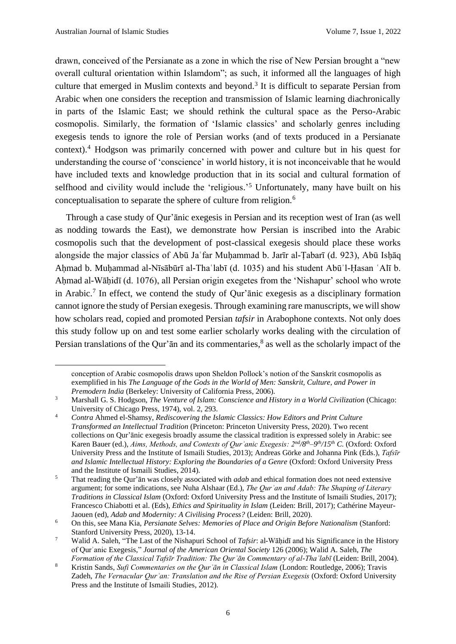drawn, conceived of the Persianate as a zone in which the rise of New Persian brought a "new overall cultural orientation within Islamdom"; as such, it informed all the languages of high culture that emerged in Muslim contexts and beyond.<sup>3</sup> It is difficult to separate Persian from Arabic when one considers the reception and transmission of Islamic learning diachronically in parts of the Islamic East; we should rethink the cultural space as the Perso-Arabic cosmopolis. Similarly, the formation of 'Islamic classics' and scholarly genres including exegesis tends to ignore the role of Persian works (and of texts produced in a Persianate context).<sup>4</sup> Hodgson was primarily concerned with power and culture but in his quest for understanding the course of 'conscience' in world history, it is not inconceivable that he would have included texts and knowledge production that in its social and cultural formation of selfhood and civility would include the 'religious.'<sup>5</sup> Unfortunately, many have built on his conceptualisation to separate the sphere of culture from religion.<sup>6</sup>

Through a case study of Qur'ānic exegesis in Persian and its reception west of Iran (as well as nodding towards the East), we demonstrate how Persian is inscribed into the Arabic cosmopolis such that the development of post-classical exegesis should place these works alongside the major classics of Abū Jaʿfar Muḥammad b. Jarīr al-Ṭabarī (d. 923), Abū Isḥāq Ahmad b. Muhammad al-Nīsābūrī al-Thaʿlabī (d. 1035) and his student Abūʾl-Hasan ʿAlī b. Ahmad al-Wāhidī (d. 1076), all Persian origin exegetes from the 'Nishapur' school who wrote in Arabic.<sup>7</sup> In effect, we contend the study of Qur'ānic exegesis as a disciplinary formation cannot ignore the study of Persian exegesis. Through examining rare manuscripts, we will show how scholars read, copied and promoted Persian *tafsir* in Arabophone contexts. Not only does this study follow up on and test some earlier scholarly works dealing with the circulation of Persian translations of the Qur'an and its commentaries, $\delta$  as well as the scholarly impact of the

conception of Arabic cosmopolis draws upon Sheldon Pollock's notion of the Sanskrit cosmopolis as exemplified in his *The Language of the Gods in the World of Men: Sanskrit, Culture, and Power in Premodern India* (Berkeley: University of California Press, 2006).

<sup>3</sup> Marshall G. S. Hodgson, *The Venture of Islam: Conscience and History in a World Civilization* (Chicago: University of Chicago Press, 1974), vol. 2, 293.

<sup>4</sup> *Contra* Ahmed el-Shamsy, *Rediscovering the Islamic Classics: How Editors and Print Culture Transformed an Intellectual Tradition* (Princeton: Princeton University Press, 2020). Two recent collections on Qur'ānic exegesis broadly assume the classical tradition is expressed solely in Arabic: see Karen Bauer (ed.), *Aims, Methods, and Contexts of Qurʾanic Exegesis: 2nd/8th–9 th/15th C.* (Oxford: Oxford University Press and the Institute of Ismaili Studies, 2013); Andreas Görke and Johanna Pink (Eds.), *Tafsīr*  and Islamic Intellectual History: Exploring the Boundaries of a Genre (Oxford: Oxford University Press) and the Institute of Ismaili Studies, 2014).

<sup>5</sup> That reading the Qur'ān was closely associated with *adab* and ethical formation does not need extensive argument; for some indications, see Nuha Alshaar (Ed.), *The Qurʾan and Adab: The Shaping of Literary Traditions in Classical Islam* (Oxford: Oxford University Press and the Institute of Ismaili Studies, 2017); Francesco Chiabotti et al. (Eds), *Ethics and Spirituality in Islam* (Leiden: Brill, 2017); Cathérine Mayeur-Jaouen (ed), *Adab and Modernity: A Civilising Process?* (Leiden: Brill, 2020).

<sup>6</sup> On this, see Mana Kia, *Persianate Selves: Memories of Place and Origin Before Nationalism* (Stanford: Stanford University Press, 2020), 13-14.

<sup>&</sup>lt;sup>7</sup> Walid A. Saleh, "The Last of the Nishapuri School of *Tafsir*: al-Wāhidī and his Significance in the History of Qurʾanic Exegesis," *Journal of the American Oriental Society* 126 (2006); Walid A. Saleh, *The Formation of the Classical Tafsīr Tradition: The Qurʾān Commentary of al-Thaʿlabī* (Leiden: Brill, 2004).

<sup>8</sup> Kristin Sands, *Sufi Commentaries on the Qurʾān in Classical Islam* (London: Routledge, 2006); Travis Zadeh, *The Vernacular Qurʾan: Translation and the Rise of Persian Exegesis* (Oxford: Oxford University Press and the Institute of Ismaili Studies, 2012).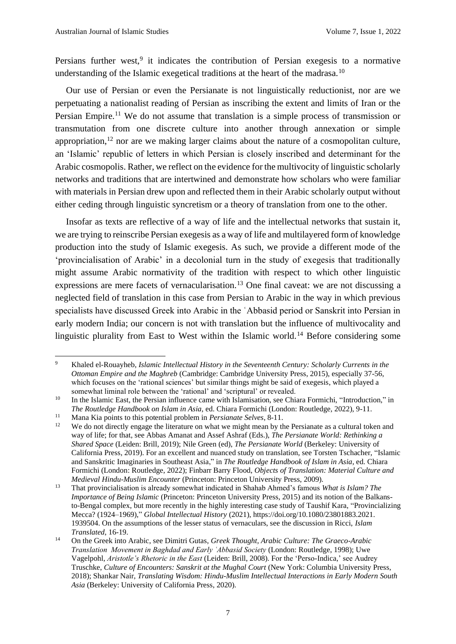Persians further west,<sup>9</sup> it indicates the contribution of Persian exegesis to a normative understanding of the Islamic exegetical traditions at the heart of the madrasa.<sup>10</sup>

Our use of Persian or even the Persianate is not linguistically reductionist, nor are we perpetuating a nationalist reading of Persian as inscribing the extent and limits of Iran or the Persian Empire.<sup>11</sup> We do not assume that translation is a simple process of transmission or transmutation from one discrete culture into another through annexation or simple appropriation,<sup>12</sup> nor are we making larger claims about the nature of a cosmopolitan culture, an 'Islamic' republic of letters in which Persian is closely inscribed and determinant for the Arabic cosmopolis. Rather, we reflect on the evidence for the multivocity of linguistic scholarly networks and traditions that are intertwined and demonstrate how scholars who were familiar with materials in Persian drew upon and reflected them in their Arabic scholarly output without either ceding through linguistic syncretism or a theory of translation from one to the other.

Insofar as texts are reflective of a way of life and the intellectual networks that sustain it, we are trying to reinscribe Persian exegesis as a way of life and multilayered form of knowledge production into the study of Islamic exegesis. As such, we provide a different mode of the 'provincialisation of Arabic' in a decolonial turn in the study of exegesis that traditionally might assume Arabic normativity of the tradition with respect to which other linguistic expressions are mere facets of vernacularisation.<sup>13</sup> One final caveat: we are not discussing a neglected field of translation in this case from Persian to Arabic in the way in which previous specialists have discussed Greek into Arabic in the ʿAbbasid period or Sanskrit into Persian in early modern India; our concern is not with translation but the influence of multivocality and linguistic plurality from East to West within the Islamic world.<sup>14</sup> Before considering some

<sup>9</sup> Khaled el-Rouayheb, *Islamic Intellectual History in the Seventeenth Century: Scholarly Currents in the Ottoman Empire and the Maghreb* (Cambridge: Cambridge University Press, 2015), especially 37-56, which focuses on the 'rational sciences' but similar things might be said of exegesis, which played a somewhat liminal role between the 'rational' and 'scriptural' or revealed.

<sup>&</sup>lt;sup>10</sup> In the Islamic East, the Persian influence came with Islamisation, see Chiara Formichi, "Introduction," in *The Routledge Handbook on Islam in Asia*, ed. Chiara Formichi (London: Routledge, 2022), 9-11.

<sup>11</sup> Mana Kia points to this potential problem in *Persianate Selves*, 8-11.

We do not directly engage the literature on what we might mean by the Persianate as a cultural token and way of life; for that, see Abbas Amanat and Assef Ashraf (Eds.), *The Persianate World: Rethinking a Shared Space* (Leiden: Brill, 2019); Nile Green (ed), *The Persianate World* (Berkeley: University of California Press, 2019). For an excellent and nuanced study on translation, see Torsten Tschacher, "Islamic and Sanskritic Imaginaries in Southeast Asia," in *The Routledge Handbook of Islam in Asia*, ed. Chiara Formichi (London: Routledge, 2022); Finbarr Barry Flood, *Objects of Translation: Material Culture and Medieval Hindu-Muslim Encounter* (Princeton: Princeton University Press, 2009).

<sup>13</sup> That provincialisation is already somewhat indicated in Shahab Ahmed's famous *What is Islam? The Importance of Being Islamic* (Princeton: Princeton University Press, 2015) and its notion of the Balkansto-Bengal complex, but more recently in the highly interesting case study of Taushif Kara, "Provincializing Mecca? (1924–1969)," *Global Intellectual History* (2021), https://doi.org/10.1080/23801883.2021. 1939504. On the assumptions of the lesser status of vernaculars, see the discussion in Ricci, *Islam Translated*, 16-19.

<sup>14</sup> On the Greek into Arabic, see Dimitri Gutas, *Greek Thought, Arabic Culture: The Graeco-Arabic Translation Movement in Baghdad and Early ʿAbbasid Society* (London: Routledge, 1998); Uwe Vagelpohl, *Aristotle's Rhetoric in the East* (Leiden: Brill, 2008). For the 'Perso-Indica,' see Audrey Truschke, *Culture of Encounters: Sanskrit at the Mughal Court* (New York: Columbia University Press, 2018); Shankar Nair, *Translating Wisdom: Hindu-Muslim Intellectual Interactions in Early Modern South Asia* (Berkeley: University of California Press, 2020).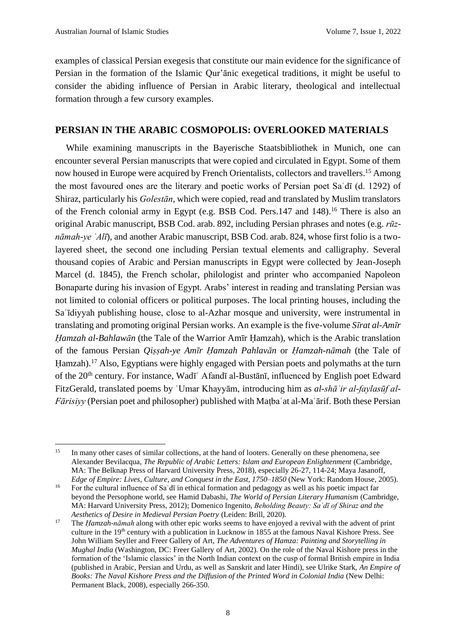examples of classical Persian exegesis that constitute our main evidence for the significance of Persian in the formation of the Islamic Qur'ānic exegetical traditions, it might be useful to consider the abiding influence of Persian in Arabic literary, theological and intellectual formation through a few cursory examples.

#### **PERSIAN IN THE ARABIC COSMOPOLIS: OVERLOOKED MATERIALS**

While examining manuscripts in the Bayerische Staatsbibliothek in Munich, one can encounter several Persian manuscripts that were copied and circulated in Egypt. Some of them now housed in Europe were acquired by French Orientalists, collectors and travellers.<sup>15</sup> Among the most favoured ones are the literary and poetic works of Persian poet Saʿdī (d. 1292) of Shiraz, particularly his *Golestān*, which were copied, read and translated by Muslim translators of the French colonial army in Egypt (e.g. BSB Cod. Pers.147 and 148).<sup>16</sup> There is also an original Arabic manuscript, BSB Cod. arab. 892, including Persian phrases and notes (e.g. *rūznāmah-ye ʿAlī*), and another Arabic manuscript, BSB Cod. arab. 824, whose first folio is a twolayered sheet, the second one including Persian textual elements and calligraphy. Several thousand copies of Arabic and Persian manuscripts in Egypt were collected by Jean-Joseph Marcel (d. 1845), the French scholar, philologist and printer who accompanied Napoleon Bonaparte during his invasion of Egypt. Arabs' interest in reading and translating Persian was not limited to colonial officers or political purposes. The local printing houses, including the Saʿīdiyyah publishing house, close to al-Azhar mosque and university, were instrumental in translating and promoting original Persian works. An example is the five-volume *Sīrat al-Amīr Ḥamzah al-Bahlawān* (the Tale of the Warrior Amīr Ḥamzah), which is the Arabic translation of the famous Persian *Qiṣṣah-ye Amīr Ḥamzah Pahlavān* or *Ḥamzah-nāmah* (the Tale of Hamzah).<sup>17</sup> Also, Egyptians were highly engaged with Persian poets and polymaths at the turn of the 20th century. For instance, Wadīʿ Afandī al-Bustānī, influenced by English poet Edward FitzGerald, translated poems by ʿUmar Khayyām, introducing him as *al-shāʿir al-faylasūf al-Fārisiyy* (Persian poet and philosopher) published with Maṭbaʿat al-Maʿārif. Both these Persian

<sup>&</sup>lt;sup>15</sup> In many other cases of similar collections, at the hand of looters. Generally on these phenomena, see Alexander Bevilacqua, *The Republic of Arabic Letters: Islam and European Enlightenment* (Cambridge, MA: The Belknap Press of Harvard University Press, 2018), especially 26-27, 114-24; Maya Jasanoff, *Edge of Empire: Lives, Culture, and Conquest in the East, 1750–1850* (New York: Random House, 2005).

<sup>&</sup>lt;sup>16</sup> For the cultural influence of Sa'dī in ethical formation and pedagogy as well as his poetic impact far beyond the Persophone world, see Hamid Dabashi, *The World of Persian Literary Humanism* (Cambridge, MA: Harvard University Press, 2012); Domenico Ingenito, *Beholding Beauty: Saʿdī of Shiraz and the Aesthetics of Desire in Medieval Persian Poetry* (Leiden: Brill, 2020).

<sup>&</sup>lt;sup>17</sup> The *Hamzah-nāmah* along with other epic works seems to have enjoyed a revival with the advent of print culture in the 19<sup>th</sup> century with a publication in Lucknow in 1855 at the famous Naval Kishore Press. See John William Seyller and Freer Gallery of Art, *The Adventures of Hamza: Painting and Storytelling in Mughal India* (Washington, DC: Freer Gallery of Art, 2002). On the role of the Naval Kishore press in the formation of the 'Islamic classics' in the North Indian context on the cusp of formal British empire in India (published in Arabic, Persian and Urdu, as well as Sanskrit and later Hindi), see Ulrike Stark, *An Empire of Books: The Naval Kishore Press and the Diffusion of the Printed Word in Colonial India* (New Delhi: Permanent Black, 2008), especially 266-350.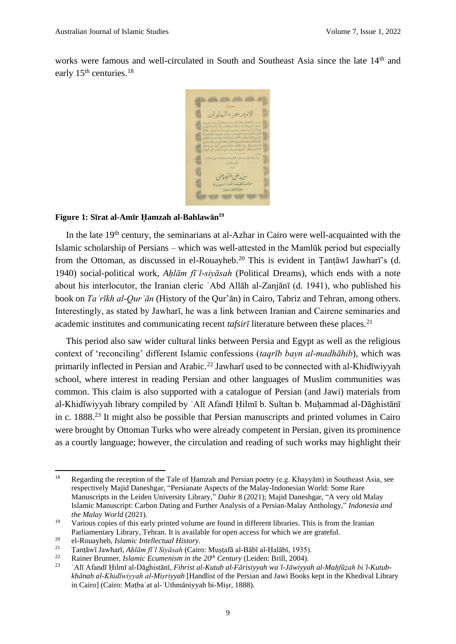works were famous and well-circulated in South and Southeast Asia since the late 14<sup>th</sup> and early 15<sup>th</sup> centuries.<sup>18</sup>



#### **Figure 1: Sīrat al-Amīr Ḥamzah al-Bahlawān 19**

In the late  $19<sup>th</sup>$  century, the seminarians at al-Azhar in Cairo were well-acquainted with the Islamic scholarship of Persians – which was well-attested in the Mamlūk period but especially from the Ottoman, as discussed in el-Rouayheb.<sup>20</sup> This is evident in Țanțāwī Jawharī's (d. 1940) social-political work, *Aḥlām fīʾl-siyāsah* (Political Dreams), which ends with a note about his interlocutor, the Iranian cleric ʿAbd Allāh al-Zanjānī (d. 1941), who published his book on *Taʾrīkh al-Qurʾān* (History of the Qur'ān) in Cairo, Tabriz and Tehran, among others. Interestingly, as stated by Jawharī, he was a link between Iranian and Cairene seminaries and academic institutes and communicating recent *tafsir* $\overline{\imath}$  literature between these places.<sup>21</sup>

This period also saw wider cultural links between Persia and Egypt as well as the religious context of 'reconciling' different Islamic confessions (*taqrīb bayn al-madhāhib*), which was primarily inflected in Persian and Arabic.<sup>22</sup> Jawharī used to be connected with al-Khidīwiyyah school, where interest in reading Persian and other languages of Muslim communities was common. This claim is also supported with a catalogue of Persian (and Jawi) materials from al-Khidīwiyyah library compiled by ʿAlī Afandī Ḥilmī b. Sultan b. Muḥammad al-Dāghistānī in c. 1888.<sup>23</sup> It might also be possible that Persian manuscripts and printed volumes in Cairo were brought by Ottoman Turks who were already competent in Persian, given its prominence as a courtly language; however, the circulation and reading of such works may highlight their

<sup>&</sup>lt;sup>18</sup> Regarding the reception of the Tale of Hamzah and Persian poetry (e.g. Khayyām) in Southeast Asia, see respectively Majid Daneshgar, "Persianate Aspects of the Malay-Indonesian World: Some Rare Manuscripts in the Leiden University Library," *Dabir* 8 (2021); Majid Daneshgar, "A very old Malay Islamic Manuscript: Carbon Dating and Further Analysis of a Persian-Malay Anthology," *Indonesia and the Malay World* (2021).

<sup>&</sup>lt;sup>19</sup> Various copies of this early printed volume are found in different libraries. This is from the Iranian Parliamentary Library, Tehran. It is available for open access for which we are grateful.

<sup>20</sup> el-Rouayheb, *Islamic Intellectual History.*

<sup>21</sup> Ṭanṭāwī Jawharī, *Aḥlām fīʾl Siyāsah* (Cairo: Muṣṭafā al-Bābī al-Ḥalābī, 1935).

<sup>22</sup> Rainer Brunner, *Islamic Ecumenism in the 20th Century* (Leiden: Brill, 2004).

<sup>23</sup> ʿAlī Afandī Ḥilmī al-Dāghistānī, *Fihrist al-Kutub al-Fārisiyyah waʾl-Jāwiyyah al-Maḥfūẓah biʾl-Kutubkhānah al-Khidīwiyyah al-Miṣriyyah* [Handlist of the Persian and Jawi Books kept in the Khedival Library in Cairo] (Cairo: Maṭbaʿat al-ʿUthmāniyyah bi-Miṣr, 1888).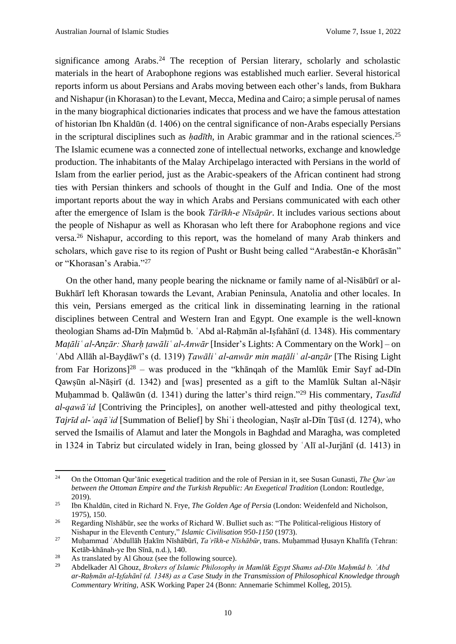significance among Arabs.<sup>24</sup> The reception of Persian literary, scholarly and scholastic materials in the heart of Arabophone regions was established much earlier. Several historical reports inform us about Persians and Arabs moving between each other's lands, from Bukhara and Nishapur (in Khorasan) to the Levant, Mecca, Medina and Cairo; a simple perusal of names in the many biographical dictionaries indicates that process and we have the famous attestation of historian Ibn Khaldūn (d. 1406) on the central significance of non-Arabs especially Persians in the scriptural disciplines such as *hadīth*, in Arabic grammar and in the rational sciences.<sup>25</sup> The Islamic ecumene was a connected zone of intellectual networks, exchange and knowledge production. The inhabitants of the Malay Archipelago interacted with Persians in the world of Islam from the earlier period, just as the Arabic-speakers of the African continent had strong ties with Persian thinkers and schools of thought in the Gulf and India. One of the most important reports about the way in which Arabs and Persians communicated with each other after the emergence of Islam is the book *Tārīkh-e Nīsāpūr*. It includes various sections about the people of Nishapur as well as Khorasan who left there for Arabophone regions and vice versa.<sup>26</sup> Nishapur, according to this report, was the homeland of many Arab thinkers and scholars, which gave rise to its region of Pusht or Busht being called "Arabestān-e Khorāsān" or "Khorasan's Arabia." 27

On the other hand, many people bearing the nickname or family name of al-Nisābūrī or al-Bukhārī left Khorasan towards the Levant, Arabian Peninsula, Anatolia and other locales. In this vein, Persians emerged as the critical link in disseminating learning in the rational disciplines between Central and Western Iran and Egypt. One example is the well-known theologian Shams ad-Dīn Mahmūd b. 'Abd al-Rahmān al-Isfahānī (d. 1348). His commentary *Maṭāliʿ al-Anẓār: Sharḥ ṭawāliʿ al-Anwār* [Insider's Lights: A Commentary on the Work] – on ʿAbd Allāh al-Bayḍāwī's (d. 1319) *Ṭawāliʿ al-anwār min maṭāliʿ al-anẓār* [The Rising Light from Far Horizons] <sup>28</sup> – was produced in the "khānqah of the Mamlūk Emir Sayf ad-Dīn Qawṣūn al-Nāṣirī (d. 1342) and [was] presented as a gift to the Mamlūk Sultan al-Nāṣir Muḥammad b. Qalāwūn (d. 1341) during the latter's third reign." <sup>29</sup> His commentary, *Tasdīd al-qawāʿid* [Contriving the Principles], on another well-attested and pithy theological text, *Tajrīd al-ʿaqāʾid* [Summation of Belief] by Shiʿi theologian, Naṣīr al-Dīn Ṭūsī (d. 1274), who served the Ismailis of Alamut and later the Mongols in Baghdad and Maragha, was completed in 1324 in Tabriz but circulated widely in Iran, being glossed by ʿAlī al-Jurjānī (d. 1413) in

<sup>24</sup> On the Ottoman Qur'ānic exegetical tradition and the role of Persian in it, see Susan Gunasti, *The Qurʾan between the Ottoman Empire and the Turkish Republic: An Exegetical Tradition* (London: Routledge, 2019).

<sup>25</sup> Ibn Khaldūn, cited in Richard N. Frye, *The Golden Age of Persia* (London: Weidenfeld and Nicholson, 1975), 150.

<sup>&</sup>lt;sup>26</sup> Regarding Nīshābūr, see the works of Richard W. Bulliet such as: "The Political-religious History of Nishapur in the Eleventh Century," *Islamic Civilisation 950-1150* (1973).

<sup>27</sup> Muḥammad ʿAbdullāh Ḥakīm Nīshābūrī, *Taʾrīkh-e Nīshābūr*, trans. Muḥammad Ḥusayn Khalīfa (Tehran: Ketāb-khānah-ye Ibn Sīnā, n.d.), 140.

<sup>&</sup>lt;sup>28</sup> As translated by Al Ghouz (see the following source).

<sup>29</sup> Abdelkader Al Ghouz, *Brokers of Islamic Philosophy in Mamlūk Egypt Shams ad-Dīn Maḥmūd b. ʿAbd ar-Raḥmān al-Iṣfahānī (d. 1348) as a Case Study in the Transmission of Philosophical Knowledge through Commentary Writing*, ASK Working Paper 24 (Bonn: Annemarie Schimmel Kolleg, 2015).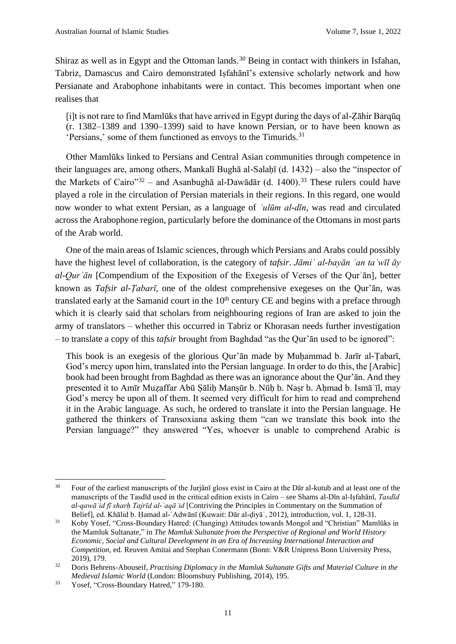Shiraz as well as in Egypt and the Ottoman lands.<sup>30</sup> Being in contact with thinkers in Isfahan, Tabriz, Damascus and Cairo demonstrated Iṣfahānī's extensive scholarly network and how Persianate and Arabophone inhabitants were in contact. This becomes important when one realises that

[i]t is not rare to find Mamlūks that have arrived in Egypt during the days of al-Ẓāhir Barqūq (r. 1382–1389 and 1390–1399) said to have known Persian, or to have been known as 'Persians,' some of them functioned as envoys to the Timurids.<sup>31</sup>

Other Mamlūks linked to Persians and Central Asian communities through competence in their languages are, among others, Mankalī Bughā al-Salaḥī (d. 1432) – also the "inspector of the Markets of Cairo"<sup>32</sup> – and Asanbughā al-Dawādār (d. 1400).<sup>33</sup> These rulers could have played a role in the circulation of Persian materials in their regions. In this regard, one would now wonder to what extent Persian, as a language of *ʿulūm al-dīn*, was read and circulated across the Arabophone region, particularly before the dominance of the Ottomans in most parts of the Arab world.

One of the main areas of Islamic sciences, through which Persians and Arabs could possibly have the highest level of collaboration, is the category of *tafsir*. *Jāmiʿ al-bayān ʿan taʾwīl āy al-Qurʾān* [Compendium of the Exposition of the Exegesis of Verses of the Qurʾān], better known as *Tafsir al-Ṭabarī*, one of the oldest comprehensive exegeses on the Qur'ān, was translated early at the Samanid court in the 10<sup>th</sup> century CE and begins with a preface through which it is clearly said that scholars from neighbouring regions of Iran are asked to join the army of translators – whether this occurred in Tabriz or Khorasan needs further investigation – to translate a copy of this *tafsir* brought from Baghdad "as the Qur'ān used to be ignored":

This book is an exegesis of the glorious Qur'ān made by Muḥammad b. Jarīr al-Ṭabarī, God's mercy upon him, translated into the Persian language. In order to do this, the [Arabic] book had been brought from Baghdad as there was an ignorance about the Qur'ān. And they presented it to Amīr Muẓaffar Abū Ṣāliḥ Manṣūr b. Nūḥ b. Naṣr b. Aḥmad b. Ismāʿīl, may God's mercy be upon all of them. It seemed very difficult for him to read and comprehend it in the Arabic language. As such, he ordered to translate it into the Persian language. He gathered the thinkers of Transoxiana asking them "can we translate this book into the Persian language?" they answered "Yes, whoever is unable to comprehend Arabic is

<sup>&</sup>lt;sup>30</sup> Four of the earliest manuscripts of the Jurjānī gloss exist in Cairo at the Dār al-kutub and at least one of the manuscripts of the Tasdīd used in the critical edition exists in Cairo – see Shams al-Dīn al-Iṣfahānī, *Tasdīd al-qawāʿid fī sharḥ Tajrīd al-ʿaqāʾid* [Contriving the Principles in Commentary on the Summation of Belief], ed. Khālid b. Ḥamad al-ʿAdwānī (Kuwait: Dār al-ḍiyāʾ, 2012), introduction, vol. 1, 128-31.

<sup>31</sup> Koby Yosef, "Cross-Boundary Hatred: (Changing) Attitudes towards Mongol and "Christian" Mamlūks in the Mamluk Sultanate," in *The Mamluk Sultanate from the Perspective of Regional and World History Economic, Social and Cultural Development in an Era of Increasing International Interaction and Competition*, ed. Reuven Amitai and Stephan Conermann (Bonn: V&R Unipress Bonn University Press, 2019), 179.

<sup>32</sup> Doris Behrens-Abouseif, *Practising Diplomacy in the Mamluk Sultanate Gifts and Material Culture in the Medieval Islamic World* (London: Bloomsbury Publishing, 2014), 195.

<sup>33</sup> Yosef, "Cross-Boundary Hatred," 179-180.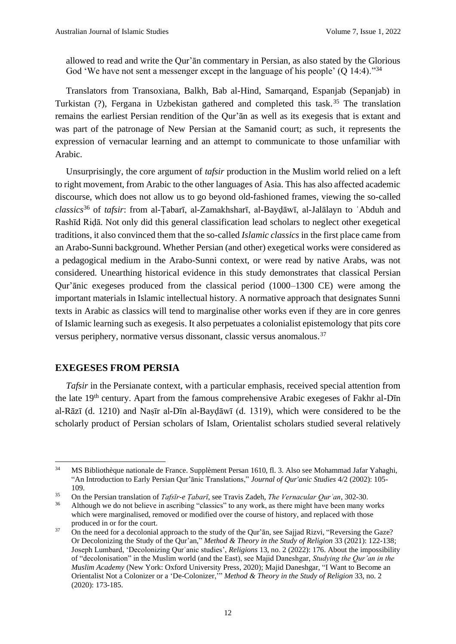allowed to read and write the Qur'ān commentary in Persian, as also stated by the Glorious God 'We have not sent a messenger except in the language of his people'  $(Q 14:4)$ ."<sup>34</sup>

Translators from Transoxiana, Balkh, Bab al-Hind, Samarqand, Espanjab (Sepanjab) in Turkistan (?), Fergana in Uzbekistan gathered and completed this task.<sup>35</sup> The translation remains the earliest Persian rendition of the Qur'ān as well as its exegesis that is extant and was part of the patronage of New Persian at the Samanid court; as such, it represents the expression of vernacular learning and an attempt to communicate to those unfamiliar with Arabic.

Unsurprisingly, the core argument of *tafsir* production in the Muslim world relied on a left to right movement, from Arabic to the other languages of Asia. This has also affected academic discourse, which does not allow us to go beyond old-fashioned frames, viewing the so-called *classics*<sup>36</sup> of *tafsir*: from al-Ṭabarī, al-Zamakhsharī, al-Bayḍāwī, al-Jalālayn to ʿAbduh and Rashīd Riḍā. Not only did this general classification lead scholars to neglect other exegetical traditions, it also convinced them that the so-called *Islamic classics* in the first place came from an Arabo-Sunni background. Whether Persian (and other) exegetical works were considered as a pedagogical medium in the Arabo-Sunni context, or were read by native Arabs, was not considered. Unearthing historical evidence in this study demonstrates that classical Persian Qur'ānic exegeses produced from the classical period (1000–1300 CE) were among the important materials in Islamic intellectual history. A normative approach that designates Sunni texts in Arabic as classics will tend to marginalise other works even if they are in core genres of Islamic learning such as exegesis. It also perpetuates a colonialist epistemology that pits core versus periphery, normative versus dissonant, classic versus anomalous.<sup>37</sup>

#### **EXEGESES FROM PERSIA**

*Tafsir* in the Persianate context, with a particular emphasis, received special attention from the late 19th century. Apart from the famous comprehensive Arabic exegeses of Fakhr al-Dīn al-Rāzī (d. 1210) and Naṣīr al-Dīn al-Bayḍāwī (d. 1319), which were considered to be the scholarly product of Persian scholars of Islam, Orientalist scholars studied several relatively

<sup>34</sup> MS Bibliothèque nationale de France. Supplèment Persan 1610, fl. 3. Also see Mohammad Jafar Yahaghi, "An Introduction to Early Persian Qur'ānic Translations," *Journal of Qur'anic Studies* 4/2 (2002): 105- 109.

<sup>35</sup> On the Persian translation of *Tafsīr-e Ṭabarī*, see Travis Zadeh, *The Vernacular Qurʾan*, 302-30.

<sup>&</sup>lt;sup>36</sup> Although we do not believe in ascribing "classics" to any work, as there might have been many works which were marginalised, removed or modified over the course of history, and replaced with those produced in or for the court.

 $37$  On the need for a decolonial approach to the study of the Qur'ān, see Sajjad Rizvi, "Reversing the Gaze? Or Decolonizing the Study of the Qur'an," *Method & Theory in the Study of Religion* 33 (2021): 122-138; Joseph Lumbard, 'Decolonizing Qurʾanic studies', *Religions* 13, no. 2 (2022): 176. About the impossibility of "decolonisation" in the Muslim world (and the East), see Majid Daneshgar, *Studying the Qur'an in the Muslim Academy* (New York: Oxford University Press, 2020); Majid Daneshgar, "I Want to Become an Orientalist Not a Colonizer or a 'De-Colonizer,'" *Method & Theory in the Study of Religion* 33, no. 2 (2020): 173-185.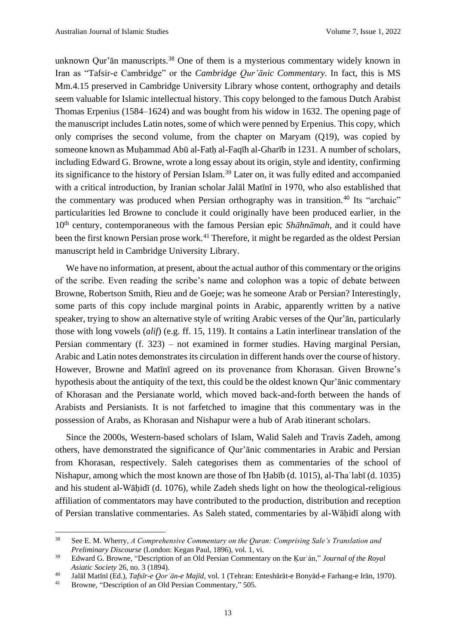unknown Qur'ān manuscripts.<sup>38</sup> One of them is a mysterious commentary widely known in Iran as "Tafsir-e Cambridge" or the *Cambridge Qur'ānic Commentary*. In fact, this is MS Mm.4.15 preserved in Cambridge University Library whose content, orthography and details seem valuable for Islamic intellectual history. This copy belonged to the famous Dutch Arabist Thomas Erpenius (1584–1624) and was bought from his widow in 1632. The opening page of the manuscript includes Latin notes, some of which were penned by Erpenius. This copy, which only comprises the second volume, from the chapter on Maryam (Q19), was copied by someone known as Muhammad Abū al-Fath al-Faqīh al-Gharīb in 1231. A number of scholars, including Edward G. Browne, wrote a long essay about its origin, style and identity, confirming its significance to the history of Persian Islam.<sup>39</sup> Later on, it was fully edited and accompanied with a critical introduction, by Iranian scholar Jalāl Matīnī in 1970, who also established that the commentary was produced when Persian orthography was in transition.<sup>40</sup> Its "archaic" particularities led Browne to conclude it could originally have been produced earlier, in the 10th century, contemporaneous with the famous Persian epic *Shāhnāmah*, and it could have been the first known Persian prose work.<sup>41</sup> Therefore, it might be regarded as the oldest Persian manuscript held in Cambridge University Library.

We have no information, at present, about the actual author of this commentary or the origins of the scribe. Even reading the scribe's name and colophon was a topic of debate between Browne, Robertson Smith, Rieu and de Goeje; was he someone Arab or Persian? Interestingly, some parts of this copy include marginal points in Arabic, apparently written by a native speaker, trying to show an alternative style of writing Arabic verses of the Qur'ān, particularly those with long vowels (*alif*) (e.g. ff. 15, 119). It contains a Latin interlinear translation of the Persian commentary (f. 323) – not examined in former studies. Having marginal Persian, Arabic and Latin notes demonstrates its circulation in different hands over the course of history. However, Browne and Matīnī agreed on its provenance from Khorasan. Given Browne's hypothesis about the antiquity of the text, this could be the oldest known Qur'ānic commentary of Khorasan and the Persianate world, which moved back-and-forth between the hands of Arabists and Persianists. It is not farfetched to imagine that this commentary was in the possession of Arabs, as Khorasan and Nishapur were a hub of Arab itinerant scholars.

Since the 2000s, Western-based scholars of Islam, Walid Saleh and Travis Zadeh, among others, have demonstrated the significance of Qur'ānic commentaries in Arabic and Persian from Khorasan, respectively. Saleh categorises them as commentaries of the school of Nishapur, among which the most known are those of Ibn Ḥabīb (d. 1015), al-Thaʿlabī (d. 1035) and his student al-Wāḥidī (d. 1076), while Zadeh sheds light on how the theological-religious affiliation of commentators may have contributed to the production, distribution and reception of Persian translative commentaries. As Saleh stated, commentaries by al-Wāḥidī along with

<sup>38</sup> See E. M. Wherry, *A Comprehensive Commentary on the Quran: Comprising Sale's Translation and Preliminary Discourse* (London: Kegan Paul, 1896), vol. 1, vi.

<sup>39</sup> Edward G. Browne, "Description of an Old Persian Commentary on the Ḳurʾán," *Journal of the Royal Asiatic Society* 26, no. 3 (1894).

<sup>40</sup> Jalāl Matīnī (Ed.), *Tafsīr-e Qorʾān-e Majīd*, vol. 1 (Tehran: Enteshārāt-e Bonyād-e Farhang-e Irān, 1970).

<sup>41</sup> Browne, "Description of an Old Persian Commentary," 505.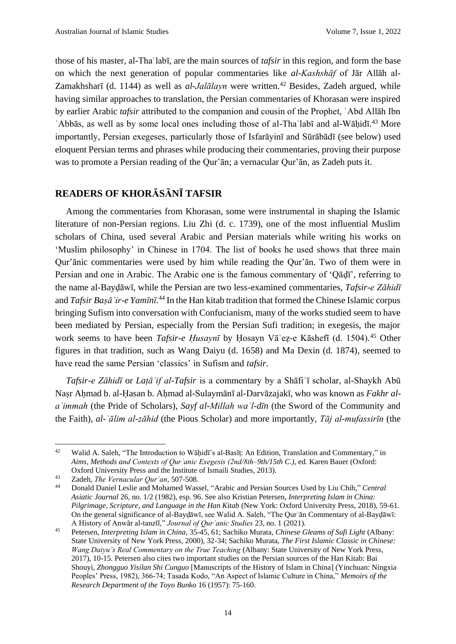those of his master, al-Thaʿlabī, are the main sources of *tafsir* in this region, and form the base on which the next generation of popular commentaries like *al-Kashshāf* of Jār Allāh al-Zamakhsharī (d. 1144) as well as *al-Jalālayn* were written.<sup>42</sup> Besides, Zadeh argued, while having similar approaches to translation, the Persian commentaries of Khorasan were inspired by earlier Arabic *tafsir* attributed to the companion and cousin of the Prophet, ʿAbd Allāh Ibn 'Abbās, as well as by some local ones including those of al-Tha labī and al-Wāḥidī.<sup>43</sup> More importantly, Persian exegeses, particularly those of Isfarāyinī and Sūrābādī (see below) used eloquent Persian terms and phrases while producing their commentaries, proving their purpose was to promote a Persian reading of the Qur'ān; a vernacular Qur'ān, as Zadeh puts it.

### **READERS OF KHORĀSĀNĪ TAFSIR**

Among the commentaries from Khorasan, some were instrumental in shaping the Islamic literature of non-Persian regions. Liu Zhi (d. c. 1739), one of the most influential Muslim scholars of China, used several Arabic and Persian materials while writing his works on 'Muslim philosophy' in Chinese in 1704. The list of books he used shows that three main Qur'ānic commentaries were used by him while reading the Qur'ān. Two of them were in Persian and one in Arabic. The Arabic one is the famous commentary of 'Qāḍī', referring to the name al-Bayḍāwī, while the Persian are two less-examined commentaries, *Tafsir-e Zāhidī* and *Tafsir Baṣāʾir-e Yamīnī*. <sup>44</sup> In the Han kitab tradition that formed the Chinese Islamic corpus bringing Sufism into conversation with Confucianism, many of the works studied seem to have been mediated by Persian, especially from the Persian Sufi tradition; in exegesis, the major work seems to have been *Tafsir-e Ḥusaynī* by Ḥosayn Vāʿeẓ-e Kāshefī (d. 1504).<sup>45</sup> Other figures in that tradition, such as Wang Daiyu (d. 1658) and Ma Dexin (d. 1874), seemed to have read the same Persian 'classics' in Sufism and *tafsir*.

*Tafsir-e Zāhidī* or *Laṭāʾif al-Tafsir* is a commentary by a Shāfiʿī scholar, al-Shaykh Abū Naṣr Aḥmad b. al-Ḥasan b. Aḥmad al-Sulaymānī al-Darvāzajakī, who was known as *Fakhr alaʾimmah* (the Pride of Scholars), *Sayf al-Millah waʾl-dīn* (the Sword of the Community and the Faith), *al-ʿālim al-zāhid* (the Pious Scholar) and more importantly, *Tāj al-mufassirīn* (the

<sup>&</sup>lt;sup>42</sup> Walid A. Saleh, "The Introduction to Wāhidī's al-Basīt: An Edition, Translation and Commentary," in *Aims, Methods and Contexts of Qurʾanic Exegesis (2nd/8th–9th/15th C.)*, ed. Karen Bauer (Oxford: Oxford University Press and the Institute of Ismaili Studies, 2013).

<sup>43</sup> Zadeh, *The Vernacular Qurʾan*, 507-508.

<sup>44</sup> Donald Daniel Leslie and Mohamed Wassel, "Arabic and Persian Sources Used by Liu Chih," *Central Asiatic Journal* 26, no. 1/2 (1982), esp. 96. See also Kristian Petersen, *Interpreting Islam in China: Pilgrimage, Scripture, and Language in the Han Kitab* (New York: Oxford University Press, 2018), 59-61. On the general significance of al-Bayḍāwī, see Walid A. Saleh, "The Qurʾān Commentary of al-Bayḍāwī: A History of Anwār al-tanzīl," *Journal of Qurʾanic Studies* 23, no. 1 (2021).

<sup>45</sup> Petersen, *Interpreting Islam in China*, 35-45, 61; Sachiko Murata, *Chinese Gleams of Sufi Light* (Albany: State University of New York Press, 2000), 32-34; Sachiko Murata, *The First Islamic Classic in Chinese: Wang Daiyu's Real Commentary on the True Teaching* (Albany: State University of New York Press, 2017), 10-15. Petersen also cites two important studies on the Persian sources of the Han Kitab: Bai Shouyi, *Zhongguo Yisilan Shi Cunguo* [Manuscripts of the History of Islam in China] (Yinchuan: Ningxia Peoples' Press, 1982), 366-74; Tasada Kodo, "An Aspect of Islamic Culture in China," *Memoirs of the Research Department of the Toyo Bunko* 16 (1957): 75-160.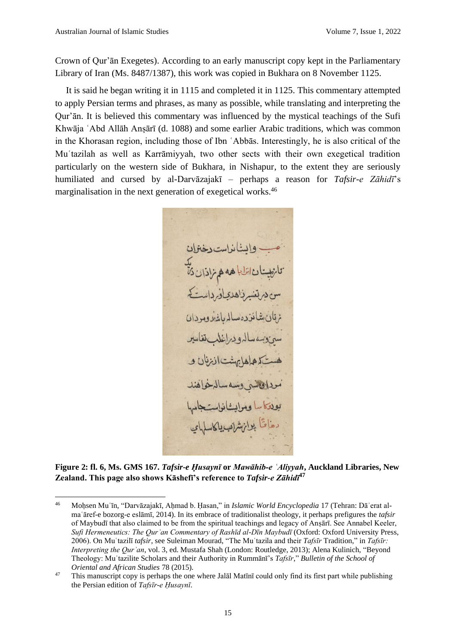Crown of Qur'ān Exegetes). According to an early manuscript copy kept in the Parliamentary Library of Iran (Ms. 8487/1387), this work was copied in Bukhara on 8 November 1125.

It is said he began writing it in 1115 and completed it in 1125. This commentary attempted to apply Persian terms and phrases, as many as possible, while translating and interpreting the Qur'ān. It is believed this commentary was influenced by the mystical teachings of the Sufi Khwāja ʿAbd Allāh Anṣārī (d. 1088) and some earlier Arabic traditions, which was common in the Khorasan region, including those of Ibn ʿAbbās. Interestingly, he is also critical of the Muʿtazilah as well as Karrāmiyyah, two other sects with their own exegetical tradition particularly on the western side of Bukhara, in Nishapur, to the extent they are seriously humiliated and cursed by al-Darvāzajakī – perhaps a reason for *Tafsir-e Zāhidī*'s marginalisation in the next generation of exegetical works.<sup>46</sup>

بالذاسة بدخةوان دھاقاً بران شراب پاکا.

**Figure 2: fl. 6, Ms. GMS 167.** *Tafsir-e Ḥusaynī* **or** *Mawāhib‐e ʿAliyyah***, Auckland Libraries, New Zealand. This page also shows Kāshefī's reference to** *Tafsir-e Zāhidī* **47**

<sup>46</sup> Moḥsen Muʿīn, "Darvāzajakī, Aḥmad b. Ḥasan," in *Islamic World Encyclopedia* 17 (Tehran: Dāʾerat almaʿāref-e bozorg-e eslāmī, 2014). In its embrace of traditionalist theology, it perhaps prefigures the *tafsir* of Maybudī that also claimed to be from the spiritual teachings and legacy of Anṣārī. See Annabel Keeler, *Sufi Hermeneutics: The Qurʾan Commentary of Rashīd al-Dīn Maybudī* (Oxford: Oxford University Press, 2006). On Muʿtazilī *tafsir*, see Suleiman Mourad, "The Muʿtazila and their *Tafsīr* Tradition," in *Tafsīr: Interpreting the Qurʾan*, vol. 3, ed. Mustafa Shah (London: Routledge, 2013); Alena Kulinich, "Beyond Theology: Muʿtazilite Scholars and their Authority in Rummānī's *Tafsīr*," *Bulletin of the School of Oriental and African Studies* 78 (2015).

<sup>&</sup>lt;sup>47</sup> This manuscript copy is perhaps the one where Jalal Matini could only find its first part while publishing the Persian edition of *Tafsīr-e Ḥusaynī*.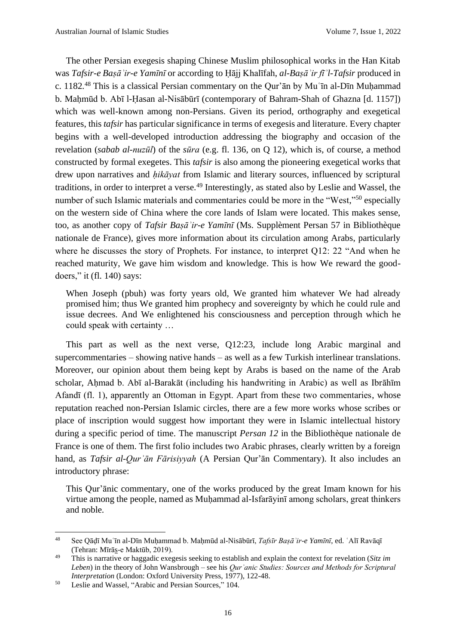The other Persian exegesis shaping Chinese Muslim philosophical works in the Han Kitab was *Tafsir-e Baṣāʾir-e Yamīnī* or according to Ḥājj Khalīfah, *al-Baṣāʾir fīʾl-Tafsir* produced in c. 1182*.* <sup>48</sup> This is a classical Persian commentary on the Qur'ān by Muʿīn al-Dīn Muḥammad b. Mahmūd b. Abī l-Hasan al-Nisābūrī (contemporary of Bahram-Shah of Ghazna [d. 1157]) which was well-known among non-Persians. Given its period, orthography and exegetical features, this *tafsir* has particular significance in terms of exegesis and literature. Every chapter begins with a well-developed introduction addressing the biography and occasion of the revelation (*sabab al-nuzūl*) of the *sūra* (e.g. fl. 136, on Q 12), which is, of course, a method constructed by formal exegetes. This *tafsir* is also among the pioneering exegetical works that drew upon narratives and *hikāyat* from Islamic and literary sources, influenced by scriptural traditions, in order to interpret a verse.<sup>49</sup> Interestingly, as stated also by Leslie and Wassel, the number of such Islamic materials and commentaries could be more in the "West,"<sup>50</sup> especially on the western side of China where the core lands of Islam were located. This makes sense, too, as another copy of *Tafsir Baṣāʾir-e Yamīnī* (Ms. Supplèment Persan 57 in Bibliothèque nationale de France), gives more information about its circulation among Arabs, particularly where he discusses the story of Prophets. For instance, to interpret Q12: 22 "And when he reached maturity, We gave him wisdom and knowledge. This is how We reward the gooddoers," it (fl. 140) says:

When Joseph (pbuh) was forty years old, We granted him whatever We had already promised him; thus We granted him prophecy and sovereignty by which he could rule and issue decrees. And We enlightened his consciousness and perception through which he could speak with certainty …

This part as well as the next verse, Q12:23, include long Arabic marginal and supercommentaries – showing native hands – as well as a few Turkish interlinear translations. Moreover, our opinion about them being kept by Arabs is based on the name of the Arab scholar, Aḥmad b. Abī al-Barakāt (including his handwriting in Arabic) as well as Ibrāhīm Afandī (fl. 1), apparently an Ottoman in Egypt. Apart from these two commentaries, whose reputation reached non-Persian Islamic circles, there are a few more works whose scribes or place of inscription would suggest how important they were in Islamic intellectual history during a specific period of time. The manuscript *Persan 12* in the Bibliothèque nationale de France is one of them. The first folio includes two Arabic phrases, clearly written by a foreign hand, as *Tafsir al-Qurʾān Fārisiyyah* (A Persian Qur'ān Commentary). It also includes an introductory phrase:

This Qur'ānic commentary, one of the works produced by the great Imam known for his virtue among the people, named as Muḥammad al-Isfarāyinī among scholars, great thinkers and noble.

<sup>48</sup> See Qāḍī Muʿīn al-Dīn Muḥammad b. Maḥmūd al-Nisābūrī, *Tafsīr Baṣāʾir-e Yamīnī*, ed. ʿAlī Ravāqī (Tehran: Mīrās-e Maktūb, 2019).

<sup>49</sup> This is narrative or haggadic exegesis seeking to establish and explain the context for revelation (*Sitz im Leben*) in the theory of John Wansbrough – see his *Qurʾanic Studies: Sources and Methods for Scriptural Interpretation* (London: Oxford University Press, 1977), 122-48.

<sup>50</sup> Leslie and Wassel, "Arabic and Persian Sources," 104.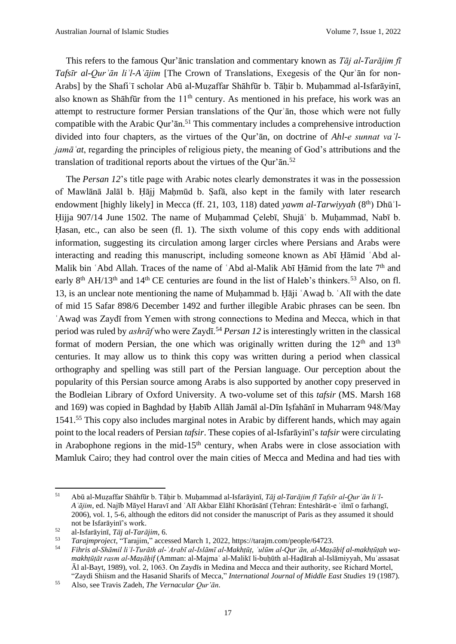This refers to the famous Qur'ānic translation and commentary known as *Tāj al-Tarājim fī Tafsīr al-Qurʾān liʾl-Aʿājim* [The Crown of Translations, Exegesis of the Qurʾān for non-Arabs] by the Shafiʿī scholar Abū al-Muẓaffar Shāhfūr b. Tāḥir b. Muḥammad al-Isfarāyinī, also known as Shāhfūr from the  $11<sup>th</sup>$  century. As mentioned in his preface, his work was an attempt to restructure former Persian translations of the Qurʾān, those which were not fully compatible with the Arabic Qur'ān.<sup>51</sup> This commentary includes a comprehensive introduction divided into four chapters, as the virtues of the Qur'ān, on doctrine of *Ahl-e sunnat vaʾljamāʿat*, regarding the principles of religious piety, the meaning of God's attributions and the translation of traditional reports about the virtues of the Qur'ān. 52

The *Persan 12*'s title page with Arabic notes clearly demonstrates it was in the possession of Mawlānā Jalāl b. Ḥājj Maḥmūd b. Ṣafā, also kept in the family with later research endowment [highly likely] in Mecca (ff. 21, 103, 118) dated *yawm al-Tarwiyyah* (8<sup>th</sup>) Dhū<sup>'</sup>l-Ḥijja 907/14 June 1502. The name of Muḥammad Çelebī, Shujāʿ b. Muḥammad, Nabī b. Hasan, etc., can also be seen (fl. 1). The sixth volume of this copy ends with additional information, suggesting its circulation among larger circles where Persians and Arabs were interacting and reading this manuscript, including someone known as Abī Ḥāmid ʿAbd al-Malik bin 'Abd Allah. Traces of the name of 'Abd al-Malik Abī Hāmid from the late 7<sup>th</sup> and early 8<sup>th</sup> AH/13<sup>th</sup> and 14<sup>th</sup> CE centuries are found in the list of Haleb's thinkers.<sup>53</sup> Also, on fl. 13, is an unclear note mentioning the name of Muḥammad b. Ḥāji ʿAwaḍ b. ʿAlī with the date of mid 15 Safar 898/6 December 1492 and further illegible Arabic phrases can be seen. Ibn ʿAwaḍ was Zaydī from Yemen with strong connections to Medina and Mecca, which in that period was ruled by *ashrāf* who were Zaydī.<sup>54</sup> *Persan 12* is interestingly written in the classical format of modern Persian, the one which was originally written during the  $12<sup>th</sup>$  and  $13<sup>th</sup>$ centuries. It may allow us to think this copy was written during a period when classical orthography and spelling was still part of the Persian language. Our perception about the popularity of this Persian source among Arabs is also supported by another copy preserved in the Bodleian Library of Oxford University. A two-volume set of this *tafsir* (MS. Marsh 168 and 169) was copied in Baghdad by Ḥabīb Allāh Jamāl al-Dīn Iṣfahānī in Muharram 948/May 1541.<sup>55</sup> This copy also includes marginal notes in Arabic by different hands, which may again point to the local readers of Persian *tafsir*. These copies of al-Isfarāyinī's *tafsir* were circulating in Arabophone regions in the mid-15<sup>th</sup> century, when Arabs were in close association with Mamluk Cairo; they had control over the main cities of Mecca and Medina and had ties with

<sup>51</sup> Abū al-Muẓaffar Shāhfūr b. Tāḥir b. Muḥammad al-Isfarāyinī, *Tāj al-Tarājim fī Tafsīr al-Qurʾān liʾl-Aʿājim*, ed. Najīb Māyel Haravī and ʿAlī Akbar Elāhī Khorāsānī (Tehran: Enteshārāt-e ʿilmī o farhangī, 2006), vol. 1, 5-6, although the editors did not consider the manuscript of Paris as they assumed it should not be Isfarāyinī's work.

<sup>52</sup> al-Isfarāyinī, *Tāj al-Tarājim*, 6.

<sup>53</sup> *Tarajmproject*, "Tarajim," accessed March 1, 2022, https://tarajm.com/people/64723.

<sup>54</sup> *Fihris al-Shāmil liʾl-Turāth al-ʿArabī al-Islāmī al-Makhṭūṭ, ʿulūm al-Qurʾān, al-Maṣāḥif al-makhṭūṭah wamakhṭūṭāt rasm al-Maṣāḥif* (Amman: al-Majmaʿ al-Malikī li-buḥūth al-Haḍārah al-Islāmiyyah, Muʾassasat Āl al-Bayt, 1989), vol. 2, 1063. On Zaydīs in Medina and Mecca and their authority, see Richard Mortel, "Zaydi Shiism and the Hasanid Sharifs of Mecca," *International Journal of Middle East Studies* 19 (1987).

<sup>55</sup> Also, see Travis Zadeh, *The Vernacular Qur'ān.*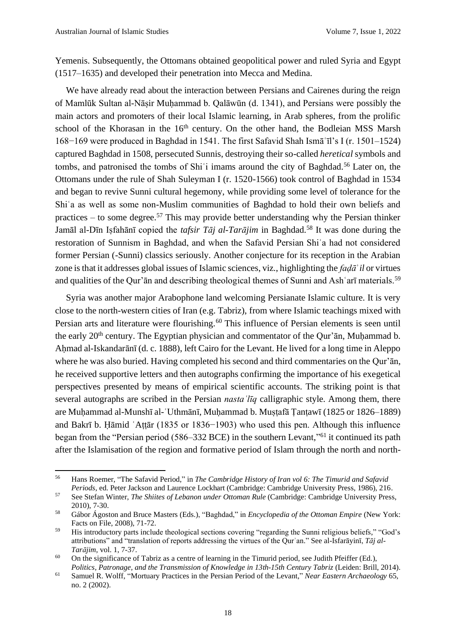Yemenis. Subsequently, the Ottomans obtained geopolitical power and ruled Syria and Egypt (1517–1635) and developed their penetration into Mecca and Medina.

We have already read about the interaction between Persians and Cairenes during the reign of Mamlūk Sultan al-Nāṣir Muḥammad b. Qalāwūn (d. 1341), and Persians were possibly the main actors and promoters of their local Islamic learning, in Arab spheres, from the prolific school of the Khorasan in the 16<sup>th</sup> century. On the other hand, the Bodleian MSS Marsh 168−169 were produced in Baghdad in 1541. The first Safavid Shah Ismāʿīl's I (r. 1501–1524) captured Baghdad in 1508, persecuted Sunnis, destroying their so-called *heretical* symbols and tombs, and patronised the tombs of Shi<sup>o</sup>i imams around the city of Baghdad.<sup>56</sup> Later on, the Ottomans under the rule of Shah Suleyman I (r. 1520-1566) took control of Baghdad in 1534 and began to revive Sunni cultural hegemony, while providing some level of tolerance for the Shiʿa as well as some non-Muslim communities of Baghdad to hold their own beliefs and practices – to some degree.<sup>57</sup> This may provide better understanding why the Persian thinker Jamāl al-Dīn Iṣfahānī copied the *tafsir Tāj al-Tarājim* in Baghdad.<sup>58</sup> It was done during the restoration of Sunnism in Baghdad, and when the Safavid Persian Shiʿa had not considered former Persian (-Sunni) classics seriously. Another conjecture for its reception in the Arabian zone is that it addresses global issues of Islamic sciences, viz., highlighting the *faḍā*ʾ*il* or virtues and qualities of the Qur'an and describing theological themes of Sunni and Ash arī materials.<sup>59</sup>

Syria was another major Arabophone land welcoming Persianate Islamic culture. It is very close to the north-western cities of Iran (e.g. Tabriz), from where Islamic teachings mixed with Persian arts and literature were flourishing.<sup>60</sup> This influence of Persian elements is seen until the early 20<sup>th</sup> century. The Egyptian physician and commentator of the Qur'an, Muḥammad b. Ahmad al-Iskandarānī (d. c. 1888), left Cairo for the Levant. He lived for a long time in Aleppo where he was also buried. Having completed his second and third commentaries on the Qur'ān, he received supportive letters and then autographs confirming the importance of his exegetical perspectives presented by means of empirical scientific accounts. The striking point is that several autographs are scribed in the Persian *nastaʿlīq* calligraphic style. Among them, there are Muḥammad al-Munshī al-ʿUthmānī, Muḥammad b. Muṣṭafā Ṭanṭawī (1825 or 1826–1889) and Bakrī b. Ḥāmid ʿAṭṭār (1835 or 1836−1903) who used this pen. Although this influence began from the "Persian period (586–332 BCE) in the southern Levant,"<sup>61</sup> it continued its path after the Islamisation of the region and formative period of Islam through the north and north-

<sup>56</sup> Hans Roemer, "The Safavid Period," in *The Cambridge History of Iran vol 6: The Timurid and Safavid Periods*, ed. Peter Jackson and Laurence Lockhart (Cambridge: Cambridge University Press, 1986), 216.

<sup>57</sup> See Stefan Winter, *The Shiites of Lebanon under Ottoman Rule* (Cambridge: Cambridge University Press, 2010), 7-30.

<sup>58</sup> Gábor Ágoston and Bruce Masters (Eds.), "Baghdad," in *Encyclopedia of the Ottoman Empire* (New York: Facts on File, 2008), 71-72.

<sup>59</sup> His introductory parts include theological sections covering "regarding the Sunni religious beliefs," "God's attributions" and "translation of reports addressing the virtues of the Qurʾan." See al-Isfarāyinī, *Tāj al-Tarājim*, vol. 1, 7-37.

 $60$  On the significance of Tabriz as a centre of learning in the Timurid period, see Judith Pfeiffer (Ed.), *Politics, Patronage, and the Transmission of Knowledge in 13th-15th Century Tabriz (Leiden: Brill, 2014).* 

<sup>61</sup> Samuel R. Wolff, "Mortuary Practices in the Persian Period of the Levant," *Near Eastern Archaeology* 65, no. 2 (2002).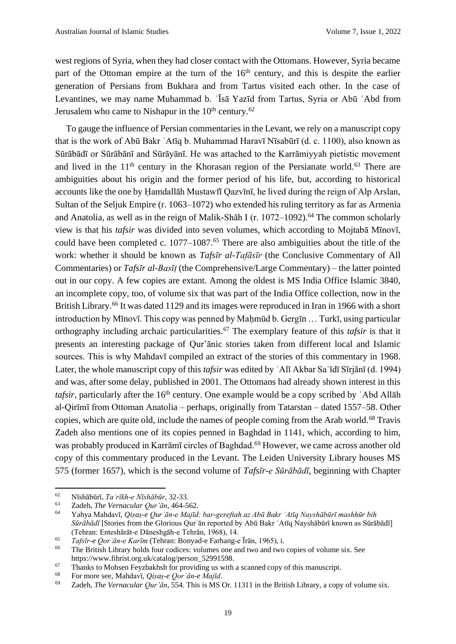west regions of Syria, when they had closer contact with the Ottomans. However, Syria became part of the Ottoman empire at the turn of the  $16<sup>th</sup>$  century, and this is despite the earlier generation of Persians from Bukhara and from Tartus visited each other. In the case of Levantines, we may name Muhammad b. ʿĪsā Yazīd from Tartus, Syria or Abū ʿAbd from Jerusalem who came to Nishapur in the  $10<sup>th</sup>$  century.<sup>62</sup>

To gauge the influence of Persian commentaries in the Levant, we rely on a manuscript copy that is the work of Abū Bakr ʿAtīq b. Muhammad Haravī Nīsabūrī (d. c. 1100), also known as Sūrābādī or Sūrābānī and Sūrāyānī. He was attached to the Karrāmiyyah pietistic movement and lived in the  $11<sup>th</sup>$  century in the Khorasan region of the Persianate world.<sup>63</sup> There are ambiguities about his origin and the former period of his life, but, according to historical accounts like the one by Ḥamdallāh Mustawfī Qazvīnī, he lived during the reign of Alp Arslan, Sultan of the Seljuk Empire (r. 1063–1072) who extended his ruling territory as far as Armenia and Anatolia, as well as in the reign of Malik-Shah I (r.  $1072-1092$ ).<sup>64</sup> The common scholarly view is that his *tafsir* was divided into seven volumes, which according to Mojtabā Mīnovī, could have been completed c. 1077–1087.<sup>65</sup> There are also ambiguities about the title of the work: whether it should be known as *Tafsīr al-Tafāsīr* (the Conclusive Commentary of All Commentaries) or *Tafsīr al-Basīṭ* (the Comprehensive/Large Commentary) – the latter pointed out in our copy. A few copies are extant. Among the oldest is MS India Office Islamic 3840, an incomplete copy, too, of volume six that was part of the India Office collection, now in the British Library.<sup>66</sup> It was dated 1129 and its images were reproduced in Iran in 1966 with a short introduction by Mīnovī. This copy was penned by Maḥmūd b. Gergīn … Turkī, using particular orthography including archaic particularities.<sup>67</sup> The exemplary feature of this *tafsir* is that it presents an interesting package of Qur'ānic stories taken from different local and Islamic sources. This is why Mahdavī compiled an extract of the stories of this commentary in 1968. Later, the whole manuscript copy of this *tafsir* was edited by ʿAlī Akbar Saʿīdī Sīrjānī (d. 1994) and was, after some delay, published in 2001. The Ottomans had already shown interest in this *tafsir*, particularly after the 16<sup>th</sup> century. One example would be a copy scribed by 'Abd Allāh al-Qirīmī from Ottoman Anatolia – perhaps, originally from Tatarstan – dated 1557–58. Other copies, which are quite old, include the names of people coming from the Arab world.<sup>68</sup> Travis Zadeh also mentions one of its copies penned in Baghdad in 1141, which, according to him, was probably produced in Karrāmī circles of Baghdad.<sup>69</sup> However, we came across another old copy of this commentary produced in the Levant. The Leiden University Library houses MS 575 (former 1657), which is the second volume of *Tafsīr-e Sūrābādī*, beginning with Chapter

<sup>62</sup> Nīshābūrī, *Taʾrīkh-e Nīshābūr*, 32-33.

<sup>63</sup> Zadeh, *The Vernacular Qur'ān*, 464-562.

<sup>64</sup> Yahya Mahdavī, *Qiṣaṣ-e Qurʾān-e Majīd: bar-gereftah az Abū Bakr ʿAtīq Nayshābūrī mashhūr bih Sūrābādī* [Stories from the Glorious Qurʾān reported by Abū Bakr ʿAtīq Nayshābūrī known as Sūrābādī] (Tehran: Enteshārāt-e Dāneshgāh-e Tehrān, 1968), 14.

<sup>65</sup> *Tafsīr-e Qorʾān-e Karīm* (Tehran: Bonyad-e Farhang-e Īrān, 1965), i.

The British Library holds four codices: volumes one and two and two copies of volume six. See https://www.fihrist.org.uk/catalog/person\_52991598.

<sup>&</sup>lt;sup>67</sup> Thanks to Mohsen Feyzbakhsh for providing us with a scanned copy of this manuscript.

<sup>68</sup> For more see, Mahdavī, *Qiṣaṣ-e Qorʾān-e Majīd*.

<sup>69</sup> Zadeh, *The Vernacular Qur'ān*, 554. This is MS Or. 11311 in the British Library, a copy of volume six.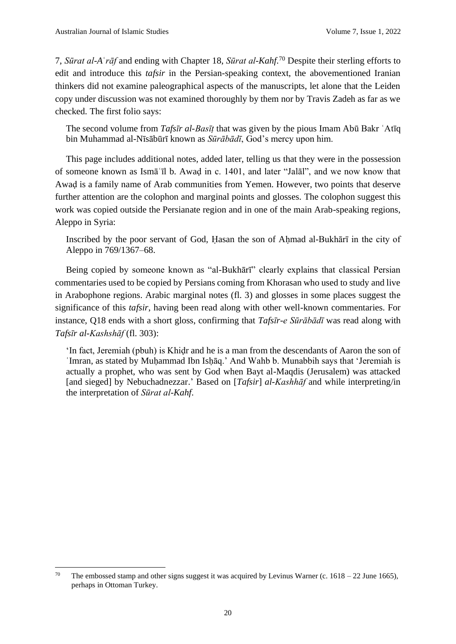7, *Sūrat al-A*ʿ*rāf* and ending with Chapter 18, *Sūrat al-Kahf*. <sup>70</sup> Despite their sterling efforts to edit and introduce this *tafsir* in the Persian-speaking context, the abovementioned Iranian thinkers did not examine paleographical aspects of the manuscripts, let alone that the Leiden copy under discussion was not examined thoroughly by them nor by Travis Zadeh as far as we checked. The first folio says:

The second volume from *Tafsīr al-Basīṭ* that was given by the pious Imam Abū Bakr ʿAtīq bin Muhammad al-Nīsābūrī known as *Sūrābādī*, God's mercy upon him.

This page includes additional notes, added later, telling us that they were in the possession of someone known as Ismāʿīl b. Awaḍ in c. 1401, and later "Jalāl", and we now know that Awaḍ is a family name of Arab communities from Yemen. However, two points that deserve further attention are the colophon and marginal points and glosses. The colophon suggest this work was copied outside the Persianate region and in one of the main Arab-speaking regions, Aleppo in Syria:

Inscribed by the poor servant of God, Hasan the son of Ahmad al-Bukhārī in the city of Aleppo in 769/1367–68.

Being copied by someone known as "al-Bukhārī" clearly explains that classical Persian commentaries used to be copied by Persians coming from Khorasan who used to study and live in Arabophone regions. Arabic marginal notes (fl. 3) and glosses in some places suggest the significance of this *tafsir*, having been read along with other well-known commentaries. For instance, Q18 ends with a short gloss, confirming that *Tafsīr-e Sūrābādī* was read along with *Tafsīr al-Kashshāf* (fl. 303):

'In fact, Jeremiah (pbuh) is Khiḍr and he is a man from the descendants of Aaron the son of ʿImran, as stated by Muḥammad Ibn Isḥāq.' And Wahb b. Munabbih says that 'Jeremiah is actually a prophet, who was sent by God when Bayt al-Maqdis (Jerusalem) was attacked [and sieged] by Nebuchadnezzar.' Based on [*Tafsir*] *al-Kashhāf* and while interpreting/in the interpretation of *Sūrat al-Kahf*.

<sup>&</sup>lt;sup>70</sup> The embossed stamp and other signs suggest it was acquired by Levinus Warner (c. 1618 – 22 June 1665), perhaps in Ottoman Turkey.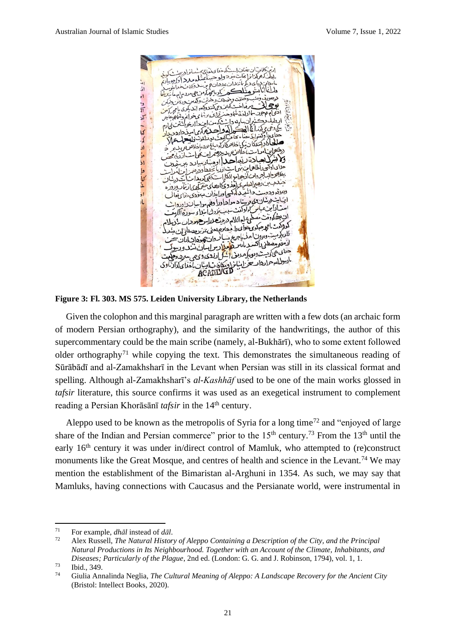

**Figure 3: Fl. 303. MS 575. Leiden University Library, the Netherlands**

Given the colophon and this marginal paragraph are written with a few dots (an archaic form of modern Persian orthography), and the similarity of the handwritings, the author of this supercommentary could be the main scribe (namely, al-Bukhārī), who to some extent followed older orthography<sup>71</sup> while copying the text. This demonstrates the simultaneous reading of Sūrābādī and al-Zamakhsharī in the Levant when Persian was still in its classical format and spelling. Although al-Zamakhsharī's *al-Kashhāf* used to be one of the main works glossed in *tafsir* literature, this source confirms it was used as an exegetical instrument to complement reading a Persian Khorāsānī *tafsir* in the 14<sup>th</sup> century.

Aleppo used to be known as the metropolis of Syria for a long time<sup>72</sup> and "enjoyed of large" share of the Indian and Persian commerce" prior to the  $15<sup>th</sup>$  century.<sup>73</sup> From the  $13<sup>th</sup>$  until the early 16<sup>th</sup> century it was under in/direct control of Mamluk, who attempted to (re)construct monuments like the Great Mosque, and centres of health and science in the Levant.<sup>74</sup> We may mention the establishment of the Bimaristan al-Arghuni in 1354. As such, we may say that Mamluks, having connections with Caucasus and the Persianate world, were instrumental in

<sup>71</sup> For example, *dhāl* instead of *dāl*.

<sup>72</sup> Alex Russell, *The Natural History of Aleppo Containing a Description of the City, and the Principal Natural Productions in Its Neighbourhood. Together with an Account of the Climate, Inhabitants, and Diseases; Particularly of the Plague*, 2nd ed. (London: G. G. and J. Robinson, 1794), vol. 1, 1.

 $^{73}$  Ibid., 349.

<sup>74</sup> Giulia Annalinda Neglia, *The Cultural Meaning of Aleppo: A Landscape Recovery for the Ancient City* (Bristol: Intellect Books, 2020).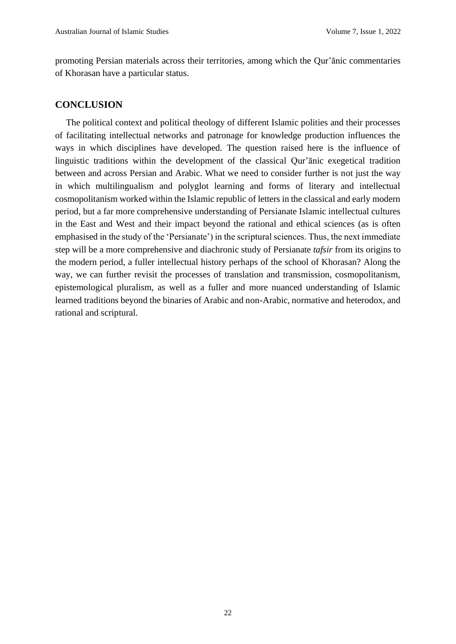promoting Persian materials across their territories, among which the Qur'ānic commentaries of Khorasan have a particular status.

#### **CONCLUSION**

The political context and political theology of different Islamic polities and their processes of facilitating intellectual networks and patronage for knowledge production influences the ways in which disciplines have developed. The question raised here is the influence of linguistic traditions within the development of the classical Qur'ānic exegetical tradition between and across Persian and Arabic. What we need to consider further is not just the way in which multilingualism and polyglot learning and forms of literary and intellectual cosmopolitanism worked within the Islamic republic of letters in the classical and early modern period, but a far more comprehensive understanding of Persianate Islamic intellectual cultures in the East and West and their impact beyond the rational and ethical sciences (as is often emphasised in the study of the 'Persianate') in the scriptural sciences. Thus, the next immediate step will be a more comprehensive and diachronic study of Persianate *tafsir* from its origins to the modern period, a fuller intellectual history perhaps of the school of Khorasan? Along the way, we can further revisit the processes of translation and transmission, cosmopolitanism, epistemological pluralism, as well as a fuller and more nuanced understanding of Islamic learned traditions beyond the binaries of Arabic and non-Arabic, normative and heterodox, and rational and scriptural.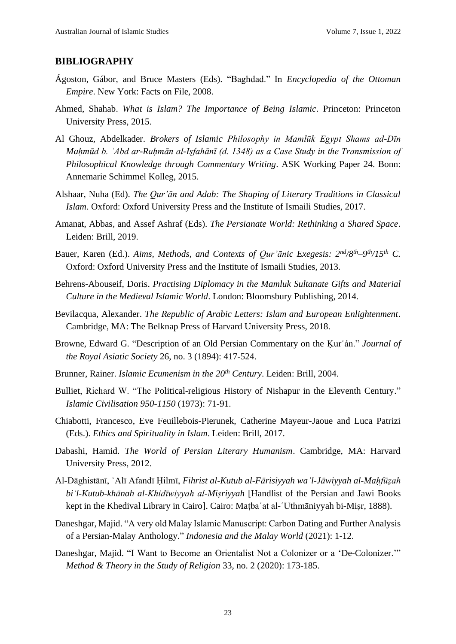#### **BIBLIOGRAPHY**

- Ágoston, Gábor, and Bruce Masters (Eds). "Baghdad." In *Encyclopedia of the Ottoman Empire*. New York: Facts on File, 2008.
- Ahmed, Shahab. *What is Islam? The Importance of Being Islamic*. Princeton: Princeton University Press, 2015.
- Al Ghouz, Abdelkader. *Brokers of Islamic Philosophy in Mamlūk Egypt Shams ad-Dīn Mahmūd b. `Abd ar-Rahmān al-Isfahānī (d. 1348) as a Case Study in the Transmission of Philosophical Knowledge through Commentary Writing*. ASK Working Paper 24. Bonn: Annemarie Schimmel Kolleg, 2015.
- Alshaar, Nuha (Ed). *The Qur'ān and Adab: The Shaping of Literary Traditions in Classical Islam*. Oxford: Oxford University Press and the Institute of Ismaili Studies, 2017.
- Amanat, Abbas, and Assef Ashraf (Eds). *The Persianate World: Rethinking a Shared Space*. Leiden: Brill, 2019.
- Bauer, Karen (Ed.). *Aims, Methods, and Contexts of Qur'ānic Exegesis: 2nd/8th–9 th/15th C.*  Oxford: Oxford University Press and the Institute of Ismaili Studies, 2013.
- Behrens-Abouseif, Doris. *Practising Diplomacy in the Mamluk Sultanate Gifts and Material Culture in the Medieval Islamic World*. London: Bloomsbury Publishing, 2014.
- Bevilacqua, Alexander. *The Republic of Arabic Letters: Islam and European Enlightenment*. Cambridge, MA: The Belknap Press of Harvard University Press, 2018.
- Browne, Edward G. "Description of an Old Persian Commentary on the Ḳurʾán." *Journal of the Royal Asiatic Society* 26, no. 3 (1894): 417-524.
- Brunner, Rainer. *Islamic Ecumenism in the 20th Century*. Leiden: Brill, 2004.
- Bulliet, Richard W. "The Political-religious History of Nishapur in the Eleventh Century." *Islamic Civilisation 950-1150* (1973): 71-91.
- Chiabotti, Francesco, Eve Feuillebois-Pierunek, Catherine Mayeur-Jaoue and Luca Patrizi (Eds.). *Ethics and Spirituality in Islam*. Leiden: Brill, 2017.
- Dabashi, Hamid. *The World of Persian Literary Humanism*. Cambridge, MA: Harvard University Press, 2012.
- Al-Dāghistānī, ʿAlī Afandī Ḥilmī, *Fihrist al-Kutub al-Fārisiyyah waʾl-Jāwiyyah al-Maḥfūẓah biʾl-Kutub-khānah al-Khidīwiyyah al-Miṣriyyah* [Handlist of the Persian and Jawi Books kept in the Khedival Library in Cairo]. Cairo: Maṭbaʿat al-ʿUthmāniyyah bi-Miṣr, 1888).
- Daneshgar, Majid. "A very old Malay Islamic Manuscript: Carbon Dating and Further Analysis of a Persian-Malay Anthology." *Indonesia and the Malay World* (2021): 1-12.
- Daneshgar, Majid. "I Want to Become an Orientalist Not a Colonizer or a 'De-Colonizer.'" *Method & Theory in the Study of Religion* 33, no. 2 (2020): 173-185.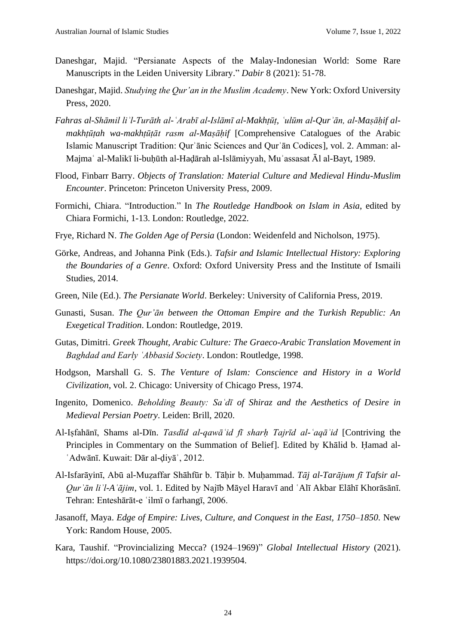- Daneshgar, Majid. "Persianate Aspects of the Malay-Indonesian World: Some Rare Manuscripts in the Leiden University Library." *Dabir* 8 (2021): 51-78.
- Daneshgar, Majid. *Studying the Qur'an in the Muslim Academy*. New York: Oxford University Press, 2020.
- *Fahras al-Shāmil liʾl-Turāth al-ʿArabī al-Islāmī al-Makhṭūṭ, ʿulūm al-Qurʾān, al-Maṣāḥif almakhṭūṭah wa-makhṭūṭāt rasm al-Maṣāḥif* [Comprehensive Catalogues of the Arabic Islamic Manuscript Tradition: Qurʾānic Sciences and Qurʾān Codices], vol. 2. Amman: al-Majmaʿ al-Malikī li-buḥūth al-Haḍārah al-Islāmiyyah, Muʾassasat Āl al-Bayt, 1989.
- Flood, Finbarr Barry. *Objects of Translation: Material Culture and Medieval Hindu-Muslim Encounter*. Princeton: Princeton University Press, 2009.
- Formichi, Chiara. "Introduction." In *The Routledge Handbook on Islam in Asia*, edited by Chiara Formichi, 1-13. London: Routledge, 2022.
- Frye, Richard N. *The Golden Age of Persia* (London: Weidenfeld and Nicholson, 1975).
- Görke, Andreas, and Johanna Pink (Eds.). *Tafsir and Islamic Intellectual History: Exploring the Boundaries of a Genre*. Oxford: Oxford University Press and the Institute of Ismaili Studies, 2014.
- Green, Nile (Ed.). *The Persianate World*. Berkeley: University of California Press, 2019.
- Gunasti, Susan. *The Qur'ān between the Ottoman Empire and the Turkish Republic: An Exegetical Tradition*. London: Routledge, 2019.
- Gutas, Dimitri. *Greek Thought, Arabic Culture: The Graeco-Arabic Translation Movement in Baghdad and Early ʿAbbasid Society*. London: Routledge, 1998.
- Hodgson, Marshall G. S. *The Venture of Islam: Conscience and History in a World Civilization*, vol. 2. Chicago: University of Chicago Press, 1974.
- Ingenito, Domenico. *Beholding Beauty: Saʿdī of Shiraz and the Aesthetics of Desire in Medieval Persian Poetry*. Leiden: Brill, 2020.
- Al-Iṣfahānī, Shams al-Dīn. *Tasdīd al-qawāʿid fī sharḥ Tajrīd al-ʿaqāʾid* [Contriving the Principles in Commentary on the Summation of Belief]. Edited by Khālid b. Ḥamad al-ʿAdwānī. Kuwait: Dār al-ḍiyāʾ, 2012.
- Al-Isfarāyinī, Abū al-Muẓaffar Shāhfūr b. Tāḥir b. Muḥammad. *Tāj al-Tarājum fī Tafsir al-Qurʾān liʾl-Aʿājim*, vol. 1. Edited by Najīb Māyel Haravī and ʿAlī Akbar Elāhī Khorāsānī. Tehran: Enteshārāt-e ʿilmī o farhangī, 2006.
- Jasanoff, Maya. *Edge of Empire: Lives, Culture, and Conquest in the East, 1750–1850*. New York: Random House, 2005.
- Kara, Taushif. "Provincializing Mecca? (1924–1969)" *Global Intellectual History* (2021). https://doi.org/10.1080/23801883.2021.1939504.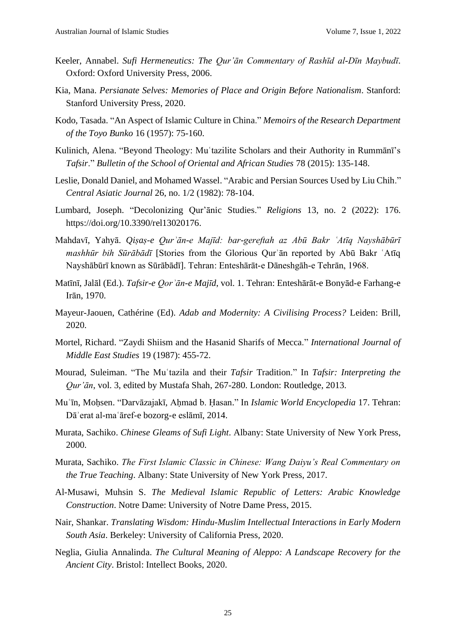- Keeler, Annabel. *Sufi Hermeneutics: The Qur'ān Commentary of Rashīd al-Dīn Maybudī*. Oxford: Oxford University Press, 2006.
- Kia, Mana. *Persianate Selves: Memories of Place and Origin Before Nationalism*. Stanford: Stanford University Press, 2020.
- Kodo, Tasada. "An Aspect of Islamic Culture in China." *Memoirs of the Research Department of the Toyo Bunko* 16 (1957): 75-160.
- Kulinich, Alena. "Beyond Theology: Muʿtazilite Scholars and their Authority in Rummānī's *Tafsir*." *Bulletin of the School of Oriental and African Studies* 78 (2015): 135-148.
- Leslie, Donald Daniel, and Mohamed Wassel. "Arabic and Persian Sources Used by Liu Chih." *Central Asiatic Journal* 26, no. 1/2 (1982): 78-104.
- Lumbard, Joseph. "Decolonizing Qur'ānic Studies." *Religions* 13, no. 2 (2022): 176. https://doi.org/10.3390/rel13020176.
- Mahdavī, Yahyā. *Qiṣaṣ-e Qurʾān-e Majīd: bar-gereftah az Abū Bakr ʿAtīq Nayshābūrī mashhūr bih Sūrābādī* [Stories from the Glorious Qurʾān reported by Abū Bakr ʿAtīq Nayshābūrī known as Sūrābādī]. Tehran: Enteshārāt-e Dāneshgāh-e Tehrān, 1968.
- Matīnī, Jalāl (Ed.). *Tafsir-e Qorʾān-e Majīd*, vol. 1. Tehran: Enteshārāt-e Bonyād-e Farhang-e Irān, 1970.
- Mayeur-Jaouen, Cathérine (Ed). *Adab and Modernity: A Civilising Process?* Leiden: Brill, 2020.
- Mortel, Richard. "Zaydi Shiism and the Hasanid Sharifs of Mecca." *International Journal of Middle East Studies* 19 (1987): 455-72.
- Mourad, Suleiman. "The Muʿtazila and their *Tafsir* Tradition." In *Tafsir: Interpreting the Qur'ān*, vol. 3, edited by Mustafa Shah, 267-280. London: Routledge, 2013.
- Muʿīn, Moḥsen. "Darvāzajakī, Aḥmad b. Ḥasan." In *Islamic World Encyclopedia* 17. Tehran: Dāʾerat al-maʿāref-e bozorg-e eslāmī, 2014.
- Murata, Sachiko. *Chinese Gleams of Sufi Light*. Albany: State University of New York Press, 2000.
- Murata, Sachiko. *The First Islamic Classic in Chinese: Wang Daiyu's Real Commentary on the True Teaching*. Albany: State University of New York Press, 2017.
- Al-Musawi, Muhsin S. *The Medieval Islamic Republic of Letters: Arabic Knowledge Construction*. Notre Dame: University of Notre Dame Press, 2015.
- Nair, Shankar. *Translating Wisdom: Hindu-Muslim Intellectual Interactions in Early Modern South Asia*. Berkeley: University of California Press, 2020.
- Neglia, Giulia Annalinda. *The Cultural Meaning of Aleppo: A Landscape Recovery for the Ancient City*. Bristol: Intellect Books, 2020.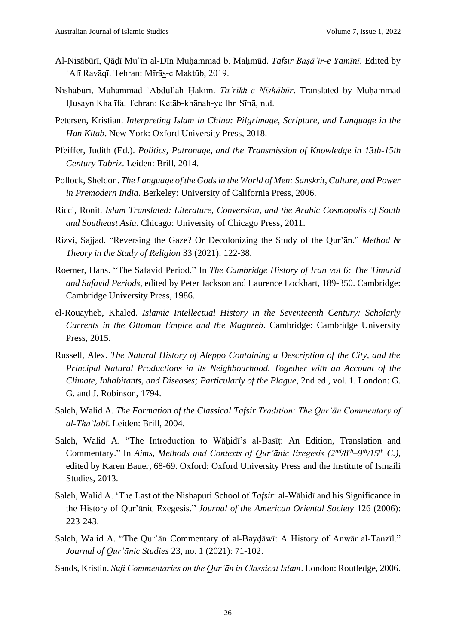- Al-Nisābūrī, Qāḍī Muʿīn al-Dīn Muḥammad b. Maḥmūd. *Tafsir Baṣāʾir-e Yamīnī*. Edited by ʿAlī Ravāqī. Tehran: Mīrās-e Maktūb, 2019.
- Nīshābūrī, Muḥammad ʿAbdullāh Ḥakīm. *Taʾrīkh-e Nīshābūr*. Translated by Muḥammad Ḥusayn Khalīfa. Tehran: Ketāb-khānah-ye Ibn Sīnā, n.d.
- Petersen, Kristian. *Interpreting Islam in China: Pilgrimage, Scripture, and Language in the Han Kitab*. New York: Oxford University Press, 2018.
- Pfeiffer, Judith (Ed.). *Politics, Patronage, and the Transmission of Knowledge in 13th-15th Century Tabriz*. Leiden: Brill, 2014.
- Pollock, Sheldon. *The Language of the Gods in the World of Men: Sanskrit, Culture, and Power in Premodern India*. Berkeley: University of California Press, 2006.
- Ricci, Ronit. *Islam Translated: Literature, Conversion, and the Arabic Cosmopolis of South and Southeast Asia*. Chicago: University of Chicago Press, 2011.
- Rizvi, Sajjad. "Reversing the Gaze? Or Decolonizing the Study of the Qur'ān." *Method & Theory in the Study of Religion* 33 (2021): 122-38.
- Roemer, Hans. "The Safavid Period." In *The Cambridge History of Iran vol 6: The Timurid and Safavid Periods*, edited by Peter Jackson and Laurence Lockhart, 189-350. Cambridge: Cambridge University Press, 1986.
- el-Rouayheb, Khaled. *Islamic Intellectual History in the Seventeenth Century: Scholarly Currents in the Ottoman Empire and the Maghreb*. Cambridge: Cambridge University Press, 2015.
- Russell, Alex. *The Natural History of Aleppo Containing a Description of the City, and the Principal Natural Productions in its Neighbourhood. Together with an Account of the Climate, Inhabitants, and Diseases; Particularly of the Plague*, 2nd ed., vol. 1. London: G. G. and J. Robinson, 1794.
- Saleh, Walid A. *The Formation of the Classical Tafsir Tradition: The Qurʾān Commentary of al-Thaʿlabī*. Leiden: Brill, 2004.
- Saleh, Walid A. "The Introduction to Wāhidī's al-Basīt: An Edition, Translation and Commentary." In *Aims, Methods and Contexts of Qur'ānic Exegesis (2nd/8th–9 th/15th C.)*, edited by Karen Bauer, 68-69. Oxford: Oxford University Press and the Institute of Ismaili Studies, 2013.
- Saleh, Walid A. 'The Last of the Nishapuri School of *Tafsir*: al-Wāḥidī and his Significance in the History of Qur'ānic Exegesis." *Journal of the American Oriental Society* 126 (2006): 223-243.
- Saleh, Walid A. "The Qurʾān Commentary of al-Bayḍāwī: A History of Anwār al-Tanzīl." *Journal of Qur'ānic Studies* 23, no. 1 (2021): 71-102.
- Sands, Kristin. *Sufi Commentaries on the Qurʾān in Classical Islam*. London: Routledge, 2006.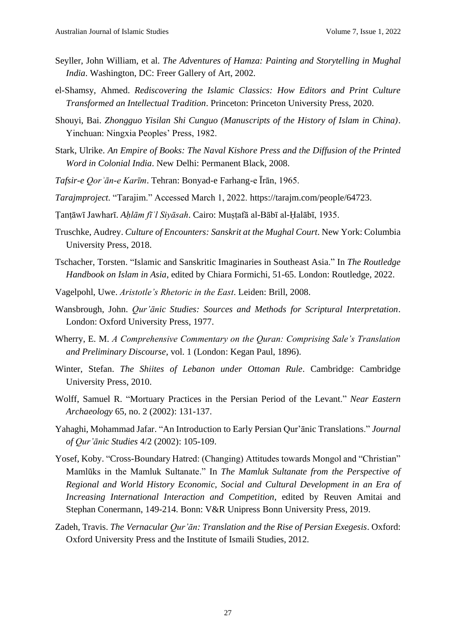- Seyller, John William, et al. *The Adventures of Hamza: Painting and Storytelling in Mughal India*. Washington, DC: Freer Gallery of Art, 2002.
- el-Shamsy, Ahmed. *Rediscovering the Islamic Classics: How Editors and Print Culture Transformed an Intellectual Tradition*. Princeton: Princeton University Press, 2020.
- Shouyi, Bai. *Zhongguo Yisilan Shi Cunguo (Manuscripts of the History of Islam in China)*. Yinchuan: Ningxia Peoples' Press, 1982.
- Stark, Ulrike. *An Empire of Books: The Naval Kishore Press and the Diffusion of the Printed Word in Colonial India*. New Delhi: Permanent Black, 2008.
- *Tafsir-e Qorʾān-e Karīm*. Tehran: Bonyad-e Farhang-e Īrān, 1965.
- *Tarajmproject*. "Tarajim." Accessed March 1, 2022. https://tarajm.com/people/64723.
- Ṭanṭāwī Jawharī. *Aḥlām fīʾl Siyāsah*. Cairo: Muṣṭafā al-Bābī al-Ḥalābī, 1935.
- Truschke, Audrey. *Culture of Encounters: Sanskrit at the Mughal Court*. New York: Columbia University Press, 2018.
- Tschacher, Torsten. "Islamic and Sanskritic Imaginaries in Southeast Asia." In *The Routledge Handbook on Islam in Asia*, edited by Chiara Formichi, 51-65. London: Routledge, 2022.
- Vagelpohl, Uwe. *Aristotle's Rhetoric in the East*. Leiden: Brill, 2008.
- Wansbrough, John. *Qur'ānic Studies: Sources and Methods for Scriptural Interpretation*. London: Oxford University Press, 1977.
- Wherry, E. M. *A Comprehensive Commentary on the Quran: Comprising Sale's Translation and Preliminary Discourse*, vol. 1 (London: Kegan Paul, 1896).
- Winter, Stefan. *The Shiites of Lebanon under Ottoman Rule*. Cambridge: Cambridge University Press, 2010.
- Wolff, Samuel R. "Mortuary Practices in the Persian Period of the Levant." *Near Eastern Archaeology* 65, no. 2 (2002): 131-137.
- Yahaghi, Mohammad Jafar. "An Introduction to Early Persian Qur'ānic Translations." *Journal of Qur'ānic Studies* 4/2 (2002): 105-109.
- Yosef, Koby. "Cross-Boundary Hatred: (Changing) Attitudes towards Mongol and "Christian" Mamlūks in the Mamluk Sultanate." In *The Mamluk Sultanate from the Perspective of Regional and World History Economic, Social and Cultural Development in an Era of Increasing International Interaction and Competition*, edited by Reuven Amitai and Stephan Conermann, 149-214. Bonn: V&R Unipress Bonn University Press, 2019.
- Zadeh, Travis. *The Vernacular Qur'ān: Translation and the Rise of Persian Exegesis*. Oxford: Oxford University Press and the Institute of Ismaili Studies, 2012.